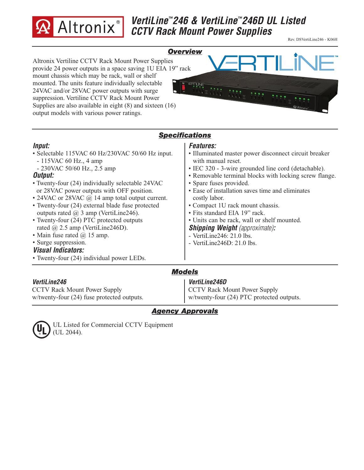

# *VertiLine™246 & VertiLine™246D UL Listed CCTV Rack Mount Power Supplies*

Rev. DSVertiLine246 - K06H

### *Overview*

Altronix Vertiline CCTV Rack Mount Power Supplies provide 24 power outputs in a space saving 1U EIA 19" rack mount chassis which may be rack, wall or shelf mounted. The units feature individually selectable 24VAC and/or 28VAC power outputs with surge suppression. Vertiline CCTV Rack Mount Power Supplies are also available in eight (8) and sixteen (16) output models with various power ratings.



# *Specifications*

### *Input:*

- Selectable 115VAC 60 Hz/230VAC 50/60 Hz input.
- 115VAC 60 Hz., 4 amp
- 230VAC 50/60 Hz., 2.5 amp

### *Output:*

- Twenty-four (24) individually selectable 24VAC or 28VAC power outputs with OFF position.
- 24VAC or 28VAC @ 14 amp total output current.
- Twenty-four (24) external blade fuse protected outputs rated  $\omega$  3 amp (VertiLine246).
- Twenty-four (24) PTC protected outputs rated @ 2.5 amp (VertiLine246D).
- Main fuse rated  $\omega$  15 amp.
- Surge suppression.

#### *Visual Indicators:*

• Twenty-four (24) individual power LEDs.

#### *VertiLine246*

CCTV Rack Mount Power Supply w/twenty-four (24) fuse protected outputs.

### *Features:*

- Illuminated master power disconnect circuit breaker with manual reset.
- IEC 320 3-wire grounded line cord (detachable).
- Removable terminal blocks with locking screw flange.
- Spare fuses provided.
- Ease of installation saves time and eliminates costly labor.
- Compact 1U rack mount chassis.
- Fits standard EIA 19" rack.
- Units can be rack, wall or shelf mounted.

*Shipping Weight (approximate):*

- VertiLine246: 21.0 lbs.
- VertiLine246D: 21.0 lbs.

## *Models*

#### *VertiLine246D*

CCTV Rack Mount Power Supply w/twenty-four (24) PTC protected outputs.

# *Agency Approvals*



UL Listed for Commercial CCTV Equipment (UL 2044).